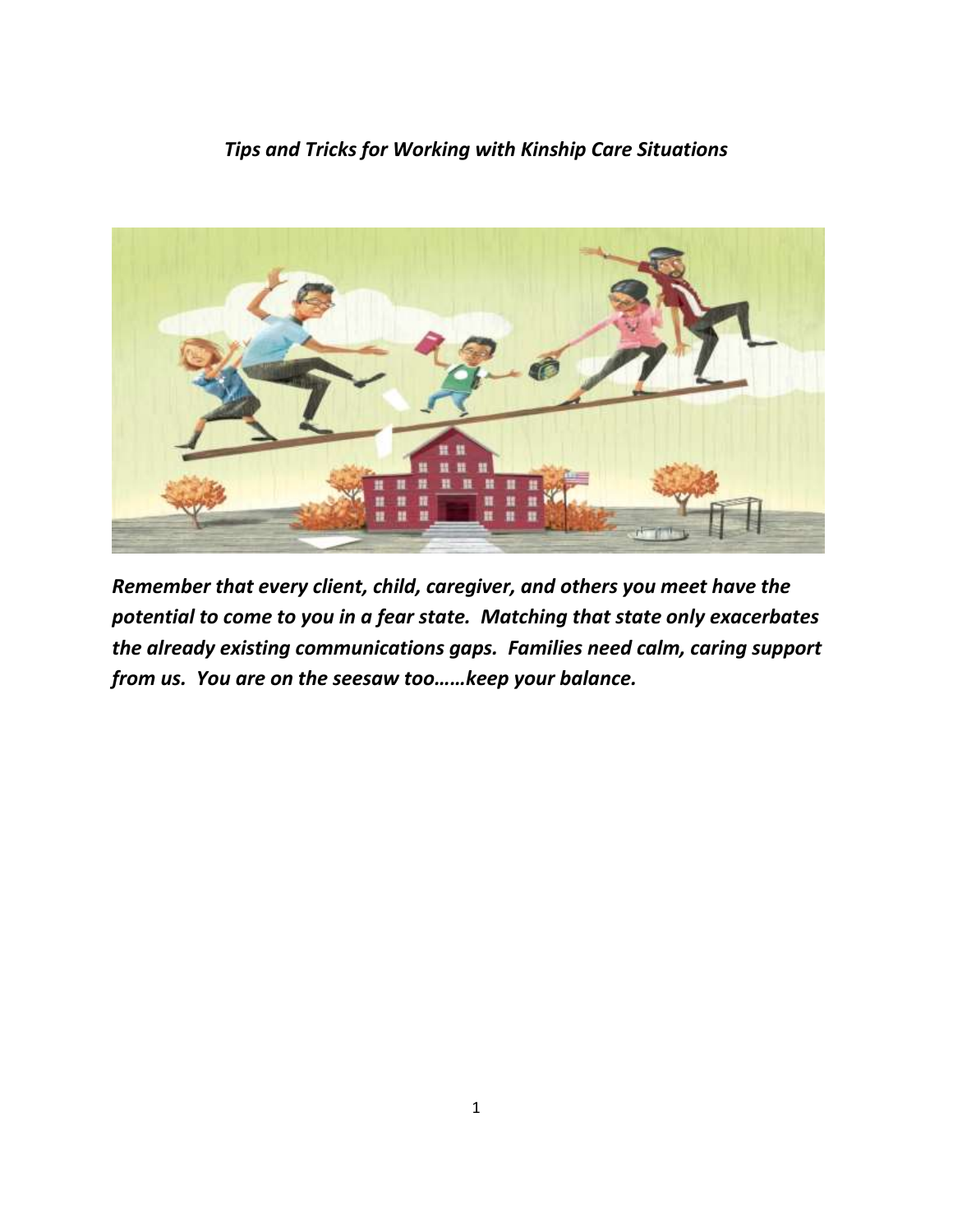# *Tips and Tricks for Working with Kinship Care Situations*



*Remember that every client, child, caregiver, and others you meet have the potential to come to you in a fear state. Matching that state only exacerbates the already existing communications gaps. Families need calm, caring support from us. You are on the seesaw too……keep your balance.*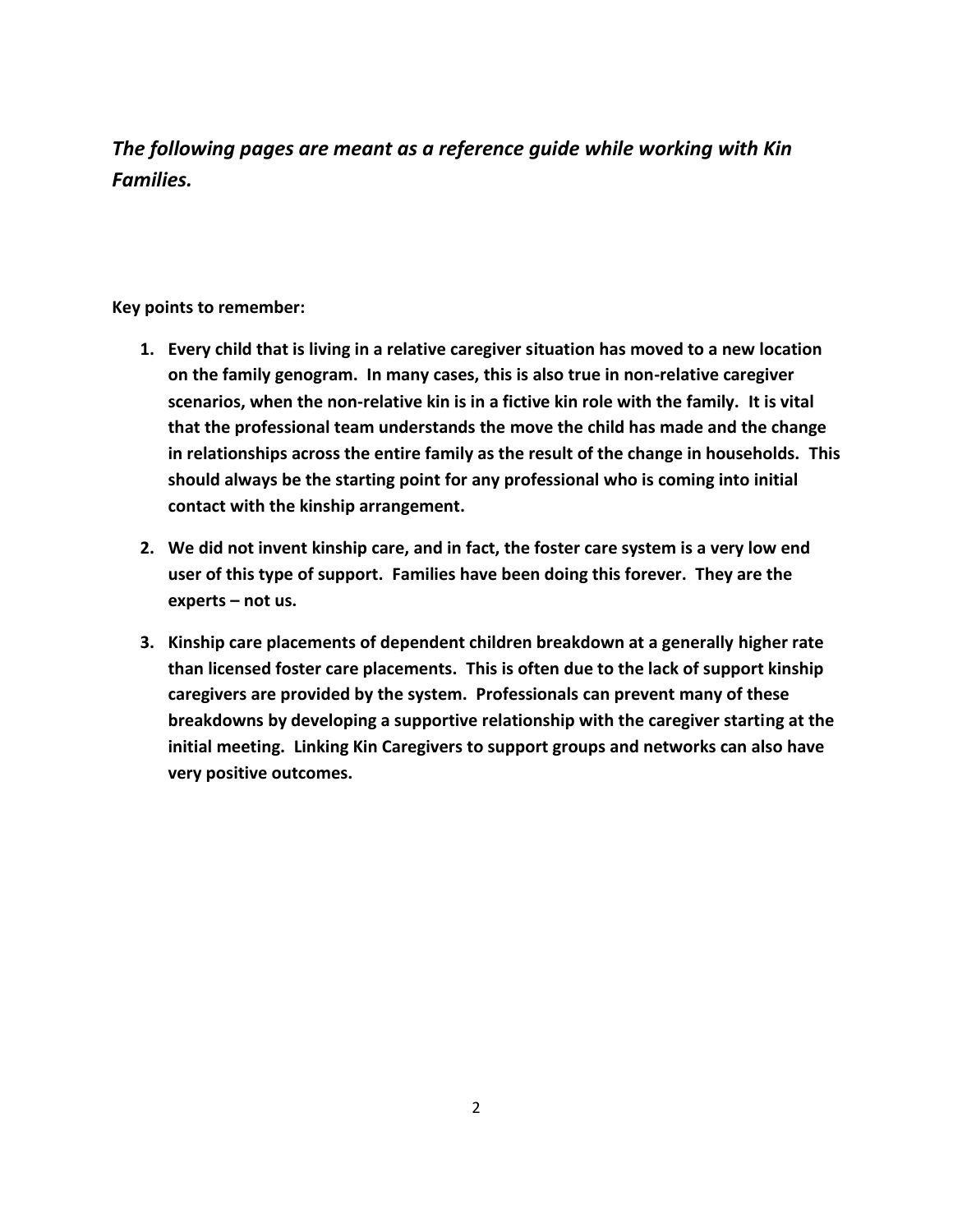*The following pages are meant as a reference guide while working with Kin Families.*

**Key points to remember:**

- **1. Every child that is living in a relative caregiver situation has moved to a new location on the family genogram. In many cases, this is also true in non-relative caregiver scenarios, when the non-relative kin is in a fictive kin role with the family. It is vital that the professional team understands the move the child has made and the change in relationships across the entire family as the result of the change in households. This should always be the starting point for any professional who is coming into initial contact with the kinship arrangement.**
- **2. We did not invent kinship care, and in fact, the foster care system is a very low end user of this type of support. Families have been doing this forever. They are the experts – not us.**
- **3. Kinship care placements of dependent children breakdown at a generally higher rate than licensed foster care placements. This is often due to the lack of support kinship caregivers are provided by the system. Professionals can prevent many of these breakdowns by developing a supportive relationship with the caregiver starting at the initial meeting. Linking Kin Caregivers to support groups and networks can also have very positive outcomes.**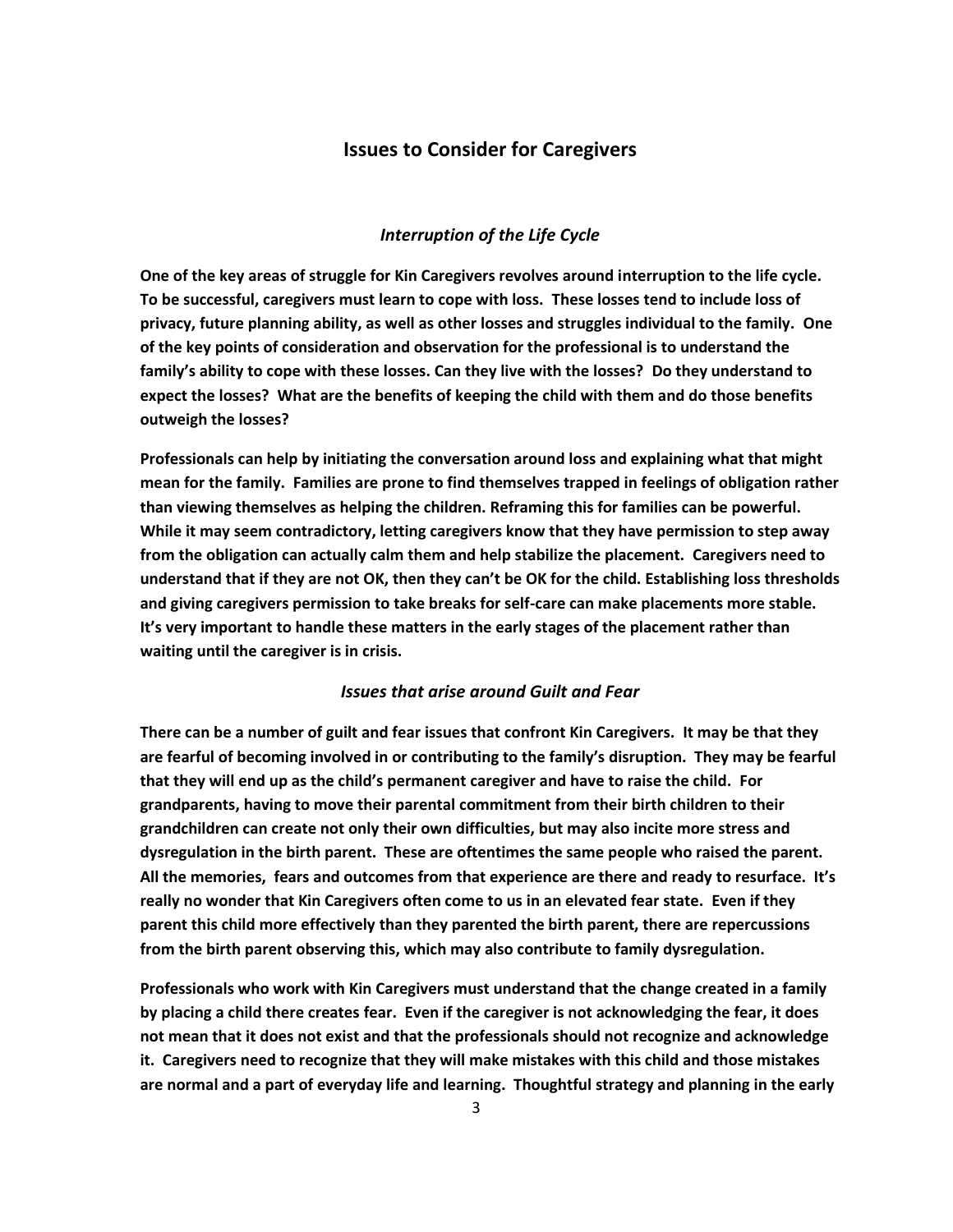# **Issues to Consider for Caregivers**

## *Interruption of the Life Cycle*

**One of the key areas of struggle for Kin Caregivers revolves around interruption to the life cycle. To be successful, caregivers must learn to cope with loss. These losses tend to include loss of privacy, future planning ability, as well as other losses and struggles individual to the family. One of the key points of consideration and observation for the professional is to understand the family's ability to cope with these losses. Can they live with the losses? Do they understand to expect the losses? What are the benefits of keeping the child with them and do those benefits outweigh the losses?** 

**Professionals can help by initiating the conversation around loss and explaining what that might mean for the family. Families are prone to find themselves trapped in feelings of obligation rather than viewing themselves as helping the children. Reframing this for families can be powerful. While it may seem contradictory, letting caregivers know that they have permission to step away from the obligation can actually calm them and help stabilize the placement. Caregivers need to understand that if they are not OK, then they can't be OK for the child. Establishing loss thresholds and giving caregivers permission to take breaks for self-care can make placements more stable. It's very important to handle these matters in the early stages of the placement rather than waiting until the caregiver is in crisis.** 

# *Issues that arise around Guilt and Fear*

**There can be a number of guilt and fear issues that confront Kin Caregivers. It may be that they are fearful of becoming involved in or contributing to the family's disruption. They may be fearful that they will end up as the child's permanent caregiver and have to raise the child. For grandparents, having to move their parental commitment from their birth children to their grandchildren can create not only their own difficulties, but may also incite more stress and dysregulation in the birth parent. These are oftentimes the same people who raised the parent. All the memories, fears and outcomes from that experience are there and ready to resurface. It's really no wonder that Kin Caregivers often come to us in an elevated fear state. Even if they parent this child more effectively than they parented the birth parent, there are repercussions from the birth parent observing this, which may also contribute to family dysregulation.** 

**Professionals who work with Kin Caregivers must understand that the change created in a family by placing a child there creates fear. Even if the caregiver is not acknowledging the fear, it does not mean that it does not exist and that the professionals should not recognize and acknowledge it. Caregivers need to recognize that they will make mistakes with this child and those mistakes are normal and a part of everyday life and learning. Thoughtful strategy and planning in the early**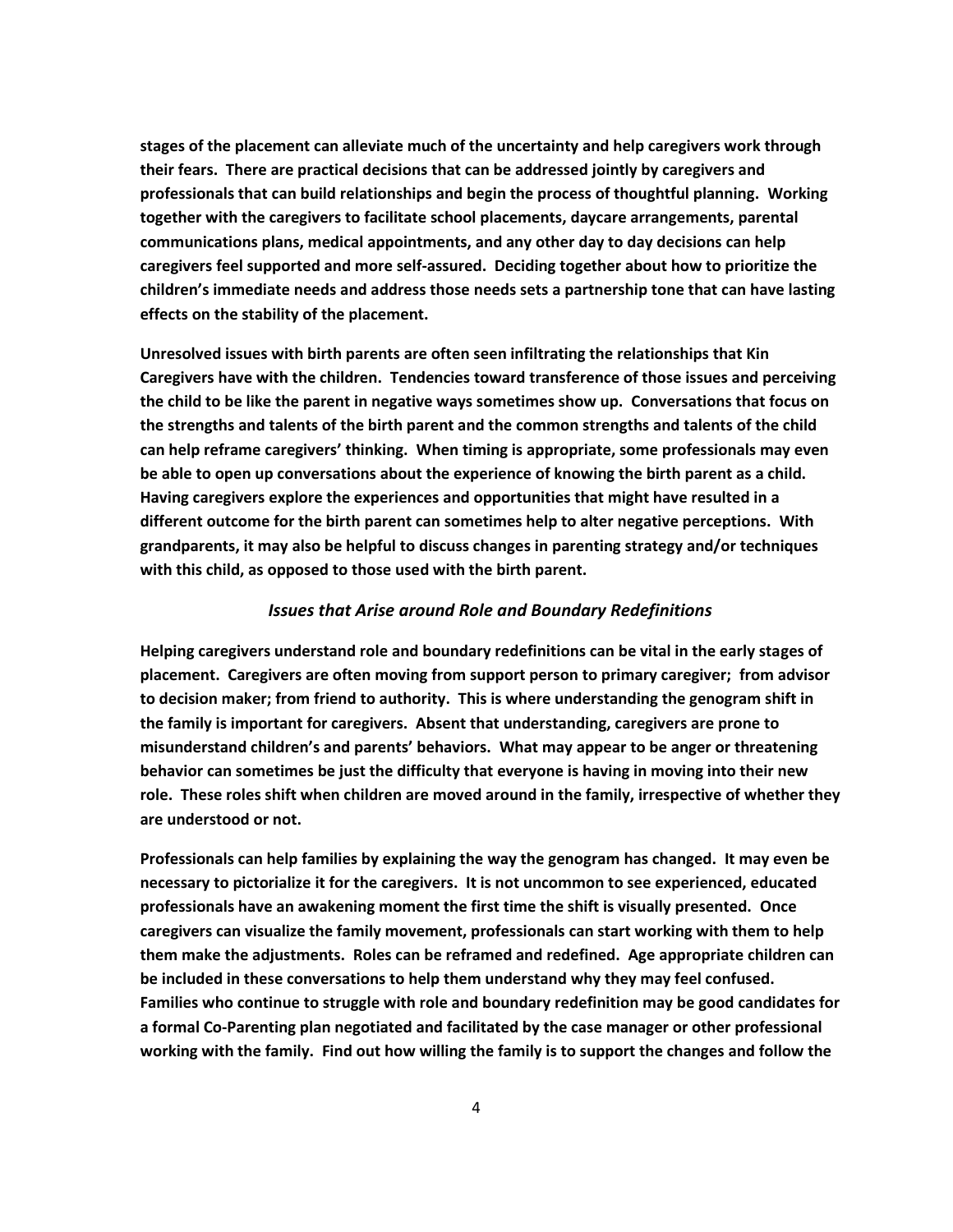**stages of the placement can alleviate much of the uncertainty and help caregivers work through their fears. There are practical decisions that can be addressed jointly by caregivers and professionals that can build relationships and begin the process of thoughtful planning. Working together with the caregivers to facilitate school placements, daycare arrangements, parental communications plans, medical appointments, and any other day to day decisions can help caregivers feel supported and more self-assured. Deciding together about how to prioritize the children's immediate needs and address those needs sets a partnership tone that can have lasting effects on the stability of the placement.** 

**Unresolved issues with birth parents are often seen infiltrating the relationships that Kin Caregivers have with the children. Tendencies toward transference of those issues and perceiving the child to be like the parent in negative ways sometimes show up. Conversations that focus on the strengths and talents of the birth parent and the common strengths and talents of the child can help reframe caregivers' thinking. When timing is appropriate, some professionals may even be able to open up conversations about the experience of knowing the birth parent as a child. Having caregivers explore the experiences and opportunities that might have resulted in a different outcome for the birth parent can sometimes help to alter negative perceptions. With grandparents, it may also be helpful to discuss changes in parenting strategy and/or techniques with this child, as opposed to those used with the birth parent.** 

#### *Issues that Arise around Role and Boundary Redefinitions*

**Helping caregivers understand role and boundary redefinitions can be vital in the early stages of placement. Caregivers are often moving from support person to primary caregiver; from advisor to decision maker; from friend to authority. This is where understanding the genogram shift in the family is important for caregivers. Absent that understanding, caregivers are prone to misunderstand children's and parents' behaviors. What may appear to be anger or threatening behavior can sometimes be just the difficulty that everyone is having in moving into their new role. These roles shift when children are moved around in the family, irrespective of whether they are understood or not.**

**Professionals can help families by explaining the way the genogram has changed. It may even be necessary to pictorialize it for the caregivers. It is not uncommon to see experienced, educated professionals have an awakening moment the first time the shift is visually presented. Once caregivers can visualize the family movement, professionals can start working with them to help them make the adjustments. Roles can be reframed and redefined. Age appropriate children can be included in these conversations to help them understand why they may feel confused. Families who continue to struggle with role and boundary redefinition may be good candidates for a formal Co-Parenting plan negotiated and facilitated by the case manager or other professional working with the family. Find out how willing the family is to support the changes and follow the**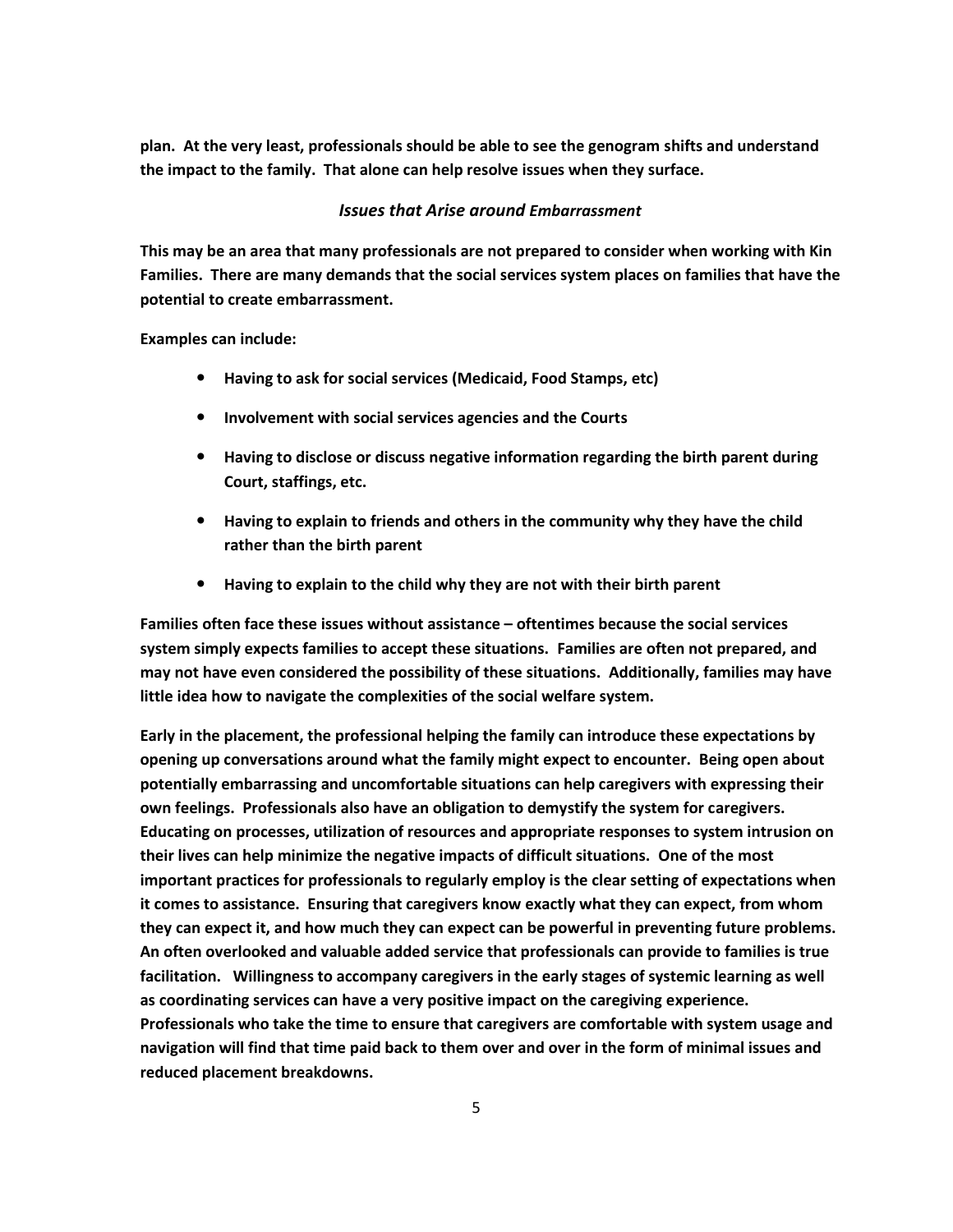**plan. At the very least, professionals should be able to see the genogram shifts and understand the impact to the family. That alone can help resolve issues when they surface.** 

## *Issues that Arise around Embarrassment*

**This may be an area that many professionals are not prepared to consider when working with Kin Families. There are many demands that the social services system places on families that have the potential to create embarrassment.** 

**Examples can include:**

- **Having to ask for social services (Medicaid, Food Stamps, etc)**
- **Involvement with social services agencies and the Courts**
- **Having to disclose or discuss negative information regarding the birth parent during Court, staffings, etc.**
- **Having to explain to friends and others in the community why they have the child rather than the birth parent**
- **Having to explain to the child why they are not with their birth parent**

**Families often face these issues without assistance – oftentimes because the social services system simply expects families to accept these situations. Families are often not prepared, and may not have even considered the possibility of these situations. Additionally, families may have little idea how to navigate the complexities of the social welfare system.** 

**Early in the placement, the professional helping the family can introduce these expectations by opening up conversations around what the family might expect to encounter. Being open about potentially embarrassing and uncomfortable situations can help caregivers with expressing their own feelings. Professionals also have an obligation to demystify the system for caregivers. Educating on processes, utilization of resources and appropriate responses to system intrusion on their lives can help minimize the negative impacts of difficult situations. One of the most important practices for professionals to regularly employ is the clear setting of expectations when it comes to assistance. Ensuring that caregivers know exactly what they can expect, from whom they can expect it, and how much they can expect can be powerful in preventing future problems. An often overlooked and valuable added service that professionals can provide to families is true facilitation. Willingness to accompany caregivers in the early stages of systemic learning as well as coordinating services can have a very positive impact on the caregiving experience. Professionals who take the time to ensure that caregivers are comfortable with system usage and navigation will find that time paid back to them over and over in the form of minimal issues and reduced placement breakdowns.**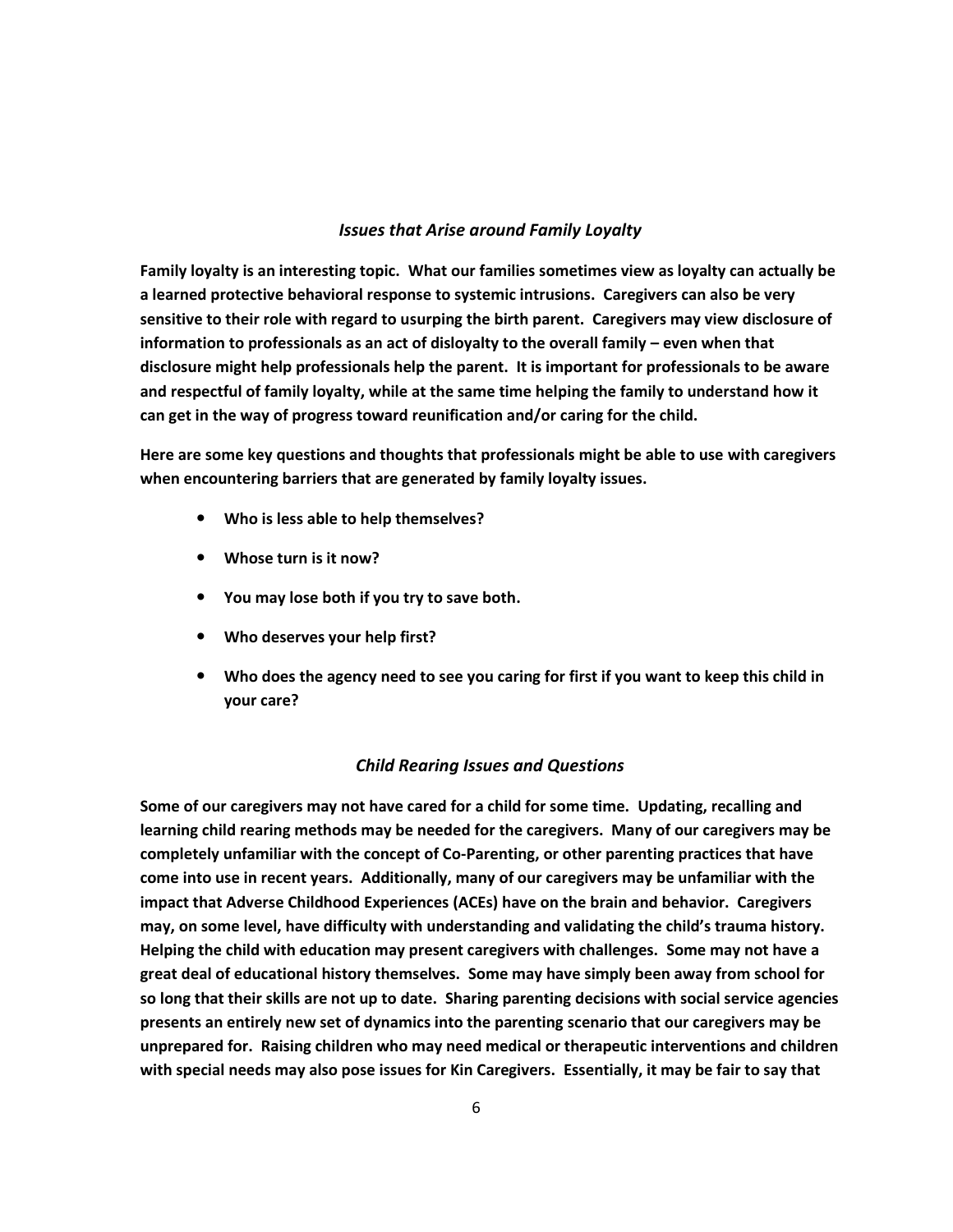## *Issues that Arise around Family Loyalty*

**Family loyalty is an interesting topic. What our families sometimes view as loyalty can actually be a learned protective behavioral response to systemic intrusions. Caregivers can also be very sensitive to their role with regard to usurping the birth parent. Caregivers may view disclosure of information to professionals as an act of disloyalty to the overall family – even when that disclosure might help professionals help the parent. It is important for professionals to be aware and respectful of family loyalty, while at the same time helping the family to understand how it can get in the way of progress toward reunification and/or caring for the child.** 

**Here are some key questions and thoughts that professionals might be able to use with caregivers when encountering barriers that are generated by family loyalty issues.** 

- **Who is less able to help themselves?**
- **Whose turn is it now?**
- **You may lose both if you try to save both.**
- **Who deserves your help first?**
- **Who does the agency need to see you caring for first if you want to keep this child in your care?**

#### *Child Rearing Issues and Questions*

**Some of our caregivers may not have cared for a child for some time. Updating, recalling and learning child rearing methods may be needed for the caregivers. Many of our caregivers may be completely unfamiliar with the concept of Co-Parenting, or other parenting practices that have come into use in recent years. Additionally, many of our caregivers may be unfamiliar with the impact that Adverse Childhood Experiences (ACEs) have on the brain and behavior. Caregivers may, on some level, have difficulty with understanding and validating the child's trauma history. Helping the child with education may present caregivers with challenges. Some may not have a great deal of educational history themselves. Some may have simply been away from school for so long that their skills are not up to date. Sharing parenting decisions with social service agencies presents an entirely new set of dynamics into the parenting scenario that our caregivers may be unprepared for. Raising children who may need medical or therapeutic interventions and children with special needs may also pose issues for Kin Caregivers. Essentially, it may be fair to say that**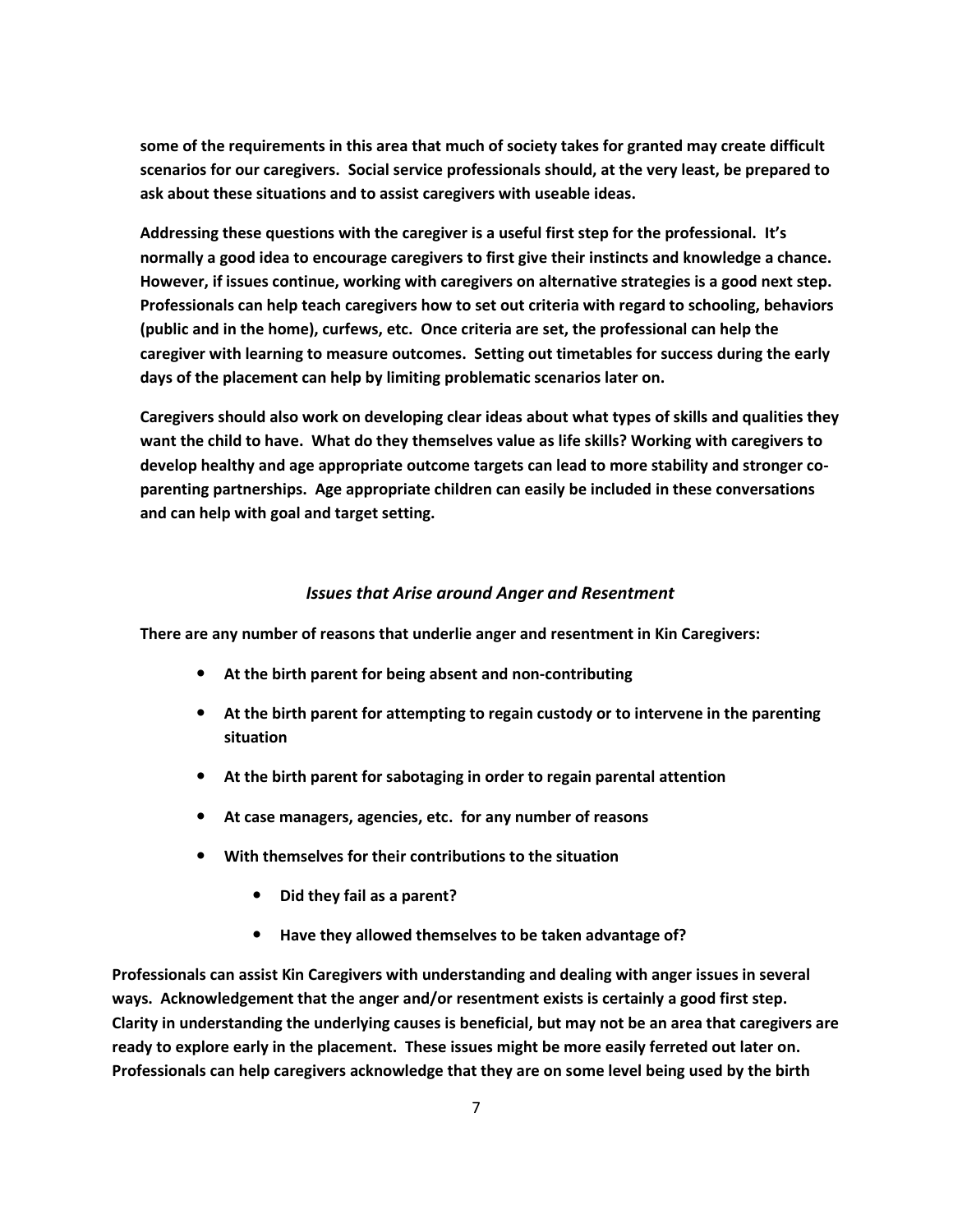**some of the requirements in this area that much of society takes for granted may create difficult scenarios for our caregivers. Social service professionals should, at the very least, be prepared to ask about these situations and to assist caregivers with useable ideas.** 

**Addressing these questions with the caregiver is a useful first step for the professional. It's normally a good idea to encourage caregivers to first give their instincts and knowledge a chance. However, if issues continue, working with caregivers on alternative strategies is a good next step. Professionals can help teach caregivers how to set out criteria with regard to schooling, behaviors (public and in the home), curfews, etc. Once criteria are set, the professional can help the caregiver with learning to measure outcomes. Setting out timetables for success during the early days of the placement can help by limiting problematic scenarios later on.** 

**Caregivers should also work on developing clear ideas about what types of skills and qualities they want the child to have. What do they themselves value as life skills? Working with caregivers to develop healthy and age appropriate outcome targets can lead to more stability and stronger coparenting partnerships. Age appropriate children can easily be included in these conversations and can help with goal and target setting.** 

#### *Issues that Arise around Anger and Resentment*

**There are any number of reasons that underlie anger and resentment in Kin Caregivers:**

- **At the birth parent for being absent and non-contributing**
- **At the birth parent for attempting to regain custody or to intervene in the parenting situation**
- **At the birth parent for sabotaging in order to regain parental attention**
- **At case managers, agencies, etc. for any number of reasons**
- **With themselves for their contributions to the situation**
	- **Did they fail as a parent?**
	- **Have they allowed themselves to be taken advantage of?**

**Professionals can assist Kin Caregivers with understanding and dealing with anger issues in several ways. Acknowledgement that the anger and/or resentment exists is certainly a good first step. Clarity in understanding the underlying causes is beneficial, but may not be an area that caregivers are ready to explore early in the placement. These issues might be more easily ferreted out later on. Professionals can help caregivers acknowledge that they are on some level being used by the birth**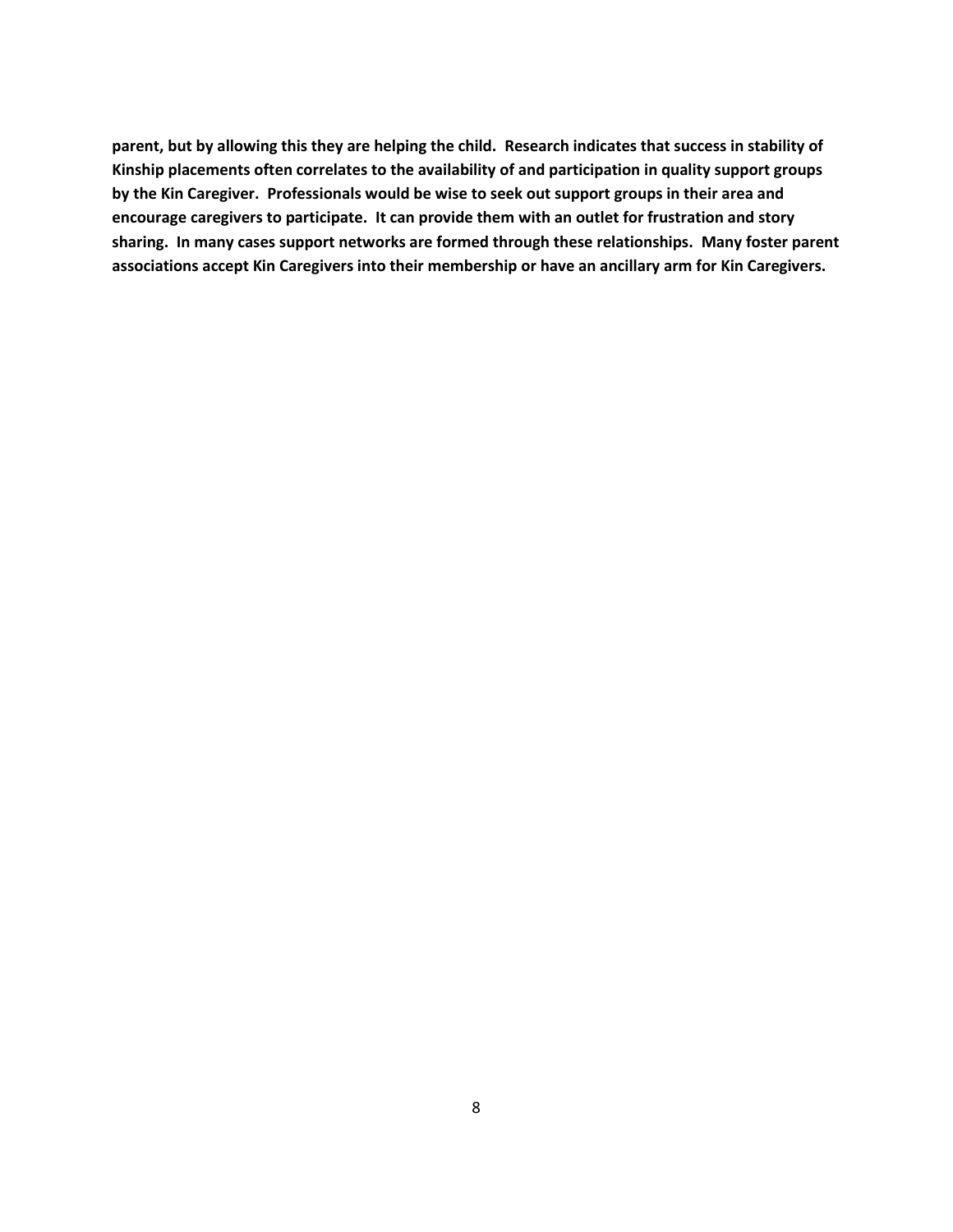**parent, but by allowing this they are helping the child. Research indicates that success in stability of Kinship placements often correlates to the availability of and participation in quality support groups by the Kin Caregiver. Professionals would be wise to seek out support groups in their area and encourage caregivers to participate. It can provide them with an outlet for frustration and story sharing. In many cases support networks are formed through these relationships. Many foster parent associations accept Kin Caregivers into their membership or have an ancillary arm for Kin Caregivers.**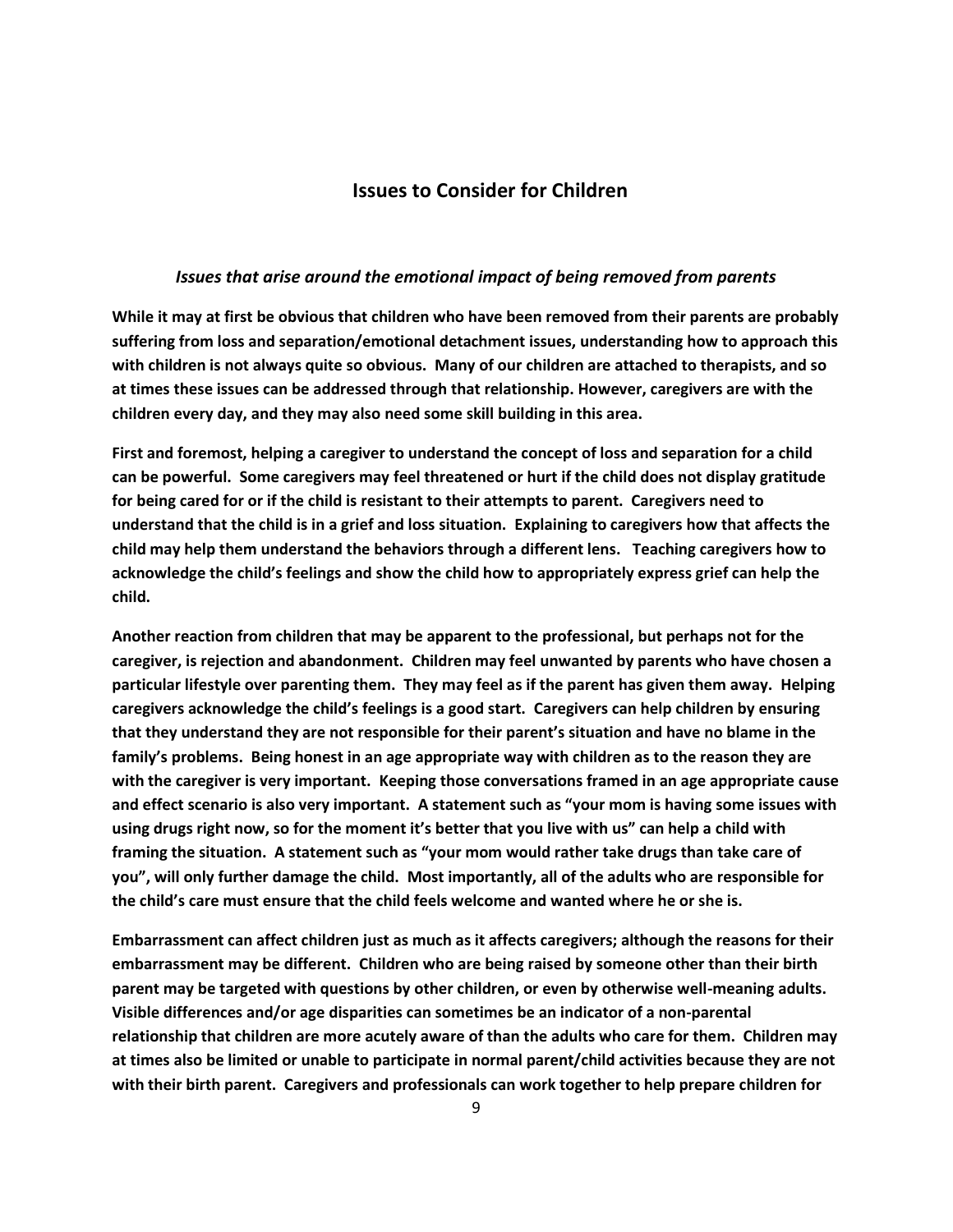# **Issues to Consider for Children**

#### *Issues that arise around the emotional impact of being removed from parents*

**While it may at first be obvious that children who have been removed from their parents are probably suffering from loss and separation/emotional detachment issues, understanding how to approach this with children is not always quite so obvious. Many of our children are attached to therapists, and so at times these issues can be addressed through that relationship. However, caregivers are with the children every day, and they may also need some skill building in this area.** 

**First and foremost, helping a caregiver to understand the concept of loss and separation for a child can be powerful. Some caregivers may feel threatened or hurt if the child does not display gratitude for being cared for or if the child is resistant to their attempts to parent. Caregivers need to understand that the child is in a grief and loss situation. Explaining to caregivers how that affects the child may help them understand the behaviors through a different lens. Teaching caregivers how to acknowledge the child's feelings and show the child how to appropriately express grief can help the child.** 

**Another reaction from children that may be apparent to the professional, but perhaps not for the caregiver, is rejection and abandonment. Children may feel unwanted by parents who have chosen a particular lifestyle over parenting them. They may feel as if the parent has given them away. Helping caregivers acknowledge the child's feelings is a good start. Caregivers can help children by ensuring that they understand they are not responsible for their parent's situation and have no blame in the family's problems. Being honest in an age appropriate way with children as to the reason they are with the caregiver is very important. Keeping those conversations framed in an age appropriate cause and effect scenario is also very important. A statement such as "your mom is having some issues with using drugs right now, so for the moment it's better that you live with us" can help a child with framing the situation. A statement such as "your mom would rather take drugs than take care of you", will only further damage the child. Most importantly, all of the adults who are responsible for the child's care must ensure that the child feels welcome and wanted where he or she is.** 

**Embarrassment can affect children just as much as it affects caregivers; although the reasons for their embarrassment may be different. Children who are being raised by someone other than their birth parent may be targeted with questions by other children, or even by otherwise well-meaning adults. Visible differences and/or age disparities can sometimes be an indicator of a non-parental relationship that children are more acutely aware of than the adults who care for them. Children may at times also be limited or unable to participate in normal parent/child activities because they are not with their birth parent. Caregivers and professionals can work together to help prepare children for**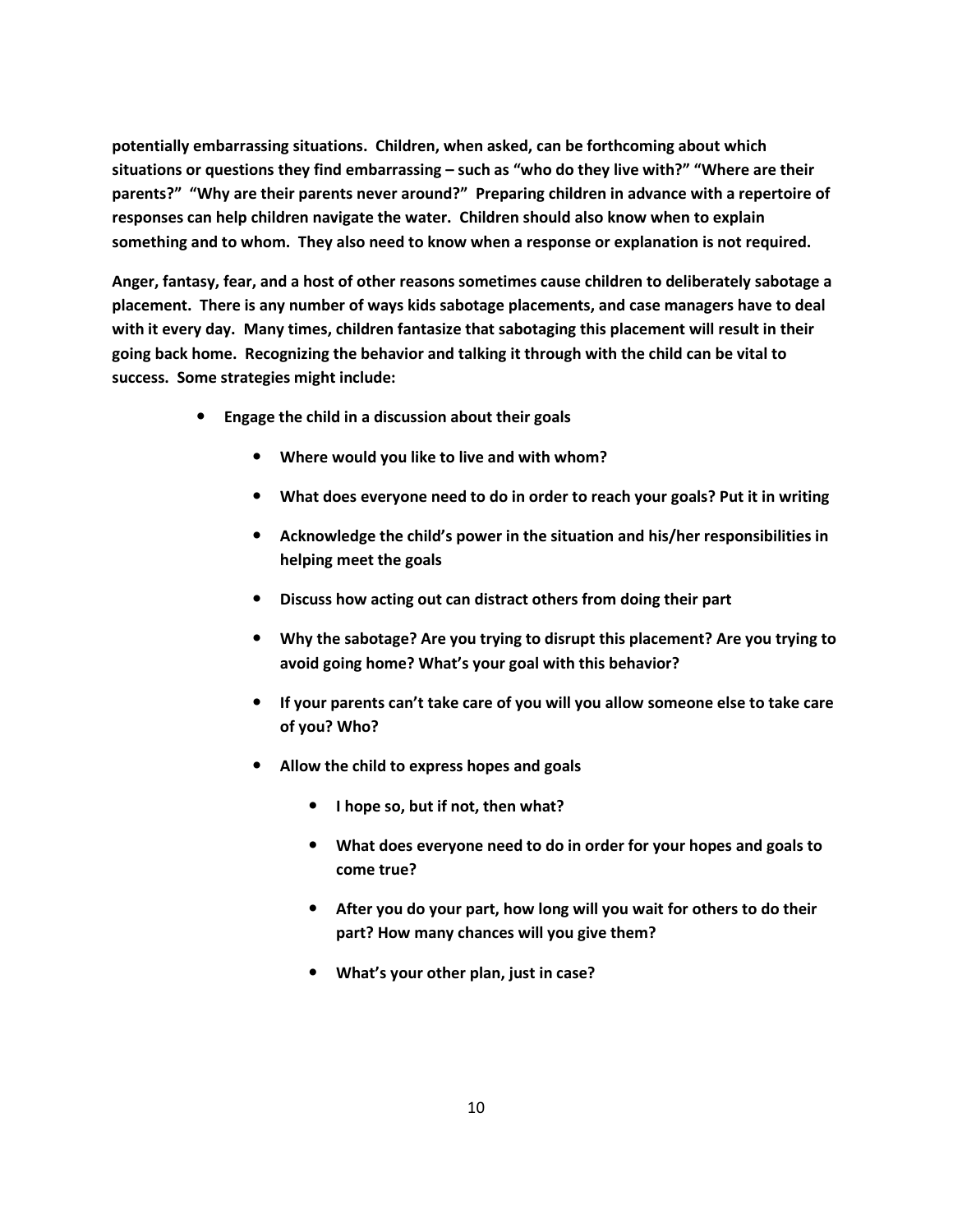**potentially embarrassing situations. Children, when asked, can be forthcoming about which situations or questions they find embarrassing – such as "who do they live with?" "Where are their parents?" "Why are their parents never around?" Preparing children in advance with a repertoire of responses can help children navigate the water. Children should also know when to explain something and to whom. They also need to know when a response or explanation is not required.** 

**Anger, fantasy, fear, and a host of other reasons sometimes cause children to deliberately sabotage a placement. There is any number of ways kids sabotage placements, and case managers have to deal with it every day. Many times, children fantasize that sabotaging this placement will result in their going back home. Recognizing the behavior and talking it through with the child can be vital to success. Some strategies might include:** 

- **Engage the child in a discussion about their goals**
	- **Where would you like to live and with whom?**
	- **What does everyone need to do in order to reach your goals? Put it in writing**
	- **Acknowledge the child's power in the situation and his/her responsibilities in helping meet the goals**
	- **Discuss how acting out can distract others from doing their part**
	- **Why the sabotage? Are you trying to disrupt this placement? Are you trying to avoid going home? What's your goal with this behavior?**
	- **If your parents can't take care of you will you allow someone else to take care of you? Who?**
	- **Allow the child to express hopes and goals**
		- **I hope so, but if not, then what?**
		- **What does everyone need to do in order for your hopes and goals to come true?**
		- **After you do your part, how long will you wait for others to do their part? How many chances will you give them?**
		- **What's your other plan, just in case?**